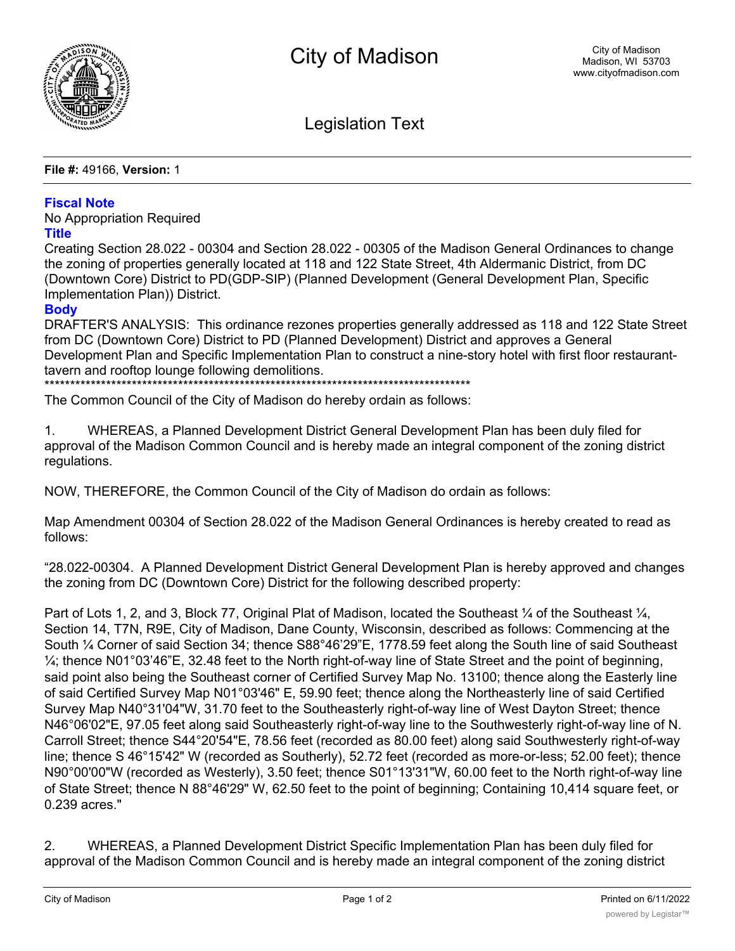

Legislation Text

**File #:** 49166, **Version:** 1

## **Fiscal Note**

No Appropriation Required

## **Title**

Creating Section 28.022 - 00304 and Section 28.022 - 00305 of the Madison General Ordinances to change the zoning of properties generally located at 118 and 122 State Street, 4th Aldermanic District, from DC (Downtown Core) District to PD(GDP-SIP) (Planned Development (General Development Plan, Specific Implementation Plan)) District.

## **Body**

DRAFTER'S ANALYSIS: This ordinance rezones properties generally addressed as 118 and 122 State Street from DC (Downtown Core) District to PD (Planned Development) District and approves a General Development Plan and Specific Implementation Plan to construct a nine-story hotel with first floor restauranttavern and rooftop lounge following demolitions.

\*\*\*\*\*\*\*\*\*\*\*\*\*\*\*\*\*\*\*\*\*\*\*\*\*\*\*\*\*\*\*\*\*\*\*\*\*\*\*\*\*\*\*\*\*\*\*\*\*\*\*\*\*\*\*\*\*\*\*\*\*\*\*\*\*\*\*\*\*\*\*\*\*\*\*\*\*\*\*\*\*\*\*

The Common Council of the City of Madison do hereby ordain as follows:

1. WHEREAS, a Planned Development District General Development Plan has been duly filed for approval of the Madison Common Council and is hereby made an integral component of the zoning district regulations.

NOW, THEREFORE, the Common Council of the City of Madison do ordain as follows:

Map Amendment 00304 of Section 28.022 of the Madison General Ordinances is hereby created to read as follows:

"28.022-00304. A Planned Development District General Development Plan is hereby approved and changes the zoning from DC (Downtown Core) District for the following described property:

Part of Lots 1, 2, and 3, Block 77, Original Plat of Madison, located the Southeast 1/4 of the Southeast 1/4, Section 14, T7N, R9E, City of Madison, Dane County, Wisconsin, described as follows: Commencing at the South ¼ Corner of said Section 34; thence S88°46'29"E, 1778.59 feet along the South line of said Southeast  $\frac{1}{4}$ ; thence N01°03'46"E, 32.48 feet to the North right-of-way line of State Street and the point of beginning, said point also being the Southeast corner of Certified Survey Map No. 13100; thence along the Easterly line of said Certified Survey Map N01°03'46" E, 59.90 feet; thence along the Northeasterly line of said Certified Survey Map N40°31'04"W, 31.70 feet to the Southeasterly right-of-way line of West Dayton Street; thence N46°06'02"E, 97.05 feet along said Southeasterly right-of-way line to the Southwesterly right-of-way line of N. Carroll Street; thence S44°20'54"E, 78.56 feet (recorded as 80.00 feet) along said Southwesterly right-of-way line; thence S 46°15'42" W (recorded as Southerly), 52.72 feet (recorded as more-or-less; 52.00 feet); thence N90°00'00"W (recorded as Westerly), 3.50 feet; thence S01°13'31"W, 60.00 feet to the North right-of-way line of State Street; thence N 88°46'29" W, 62.50 feet to the point of beginning; Containing 10,414 square feet, or 0.239 acres."

2. WHEREAS, a Planned Development District Specific Implementation Plan has been duly filed for approval of the Madison Common Council and is hereby made an integral component of the zoning district